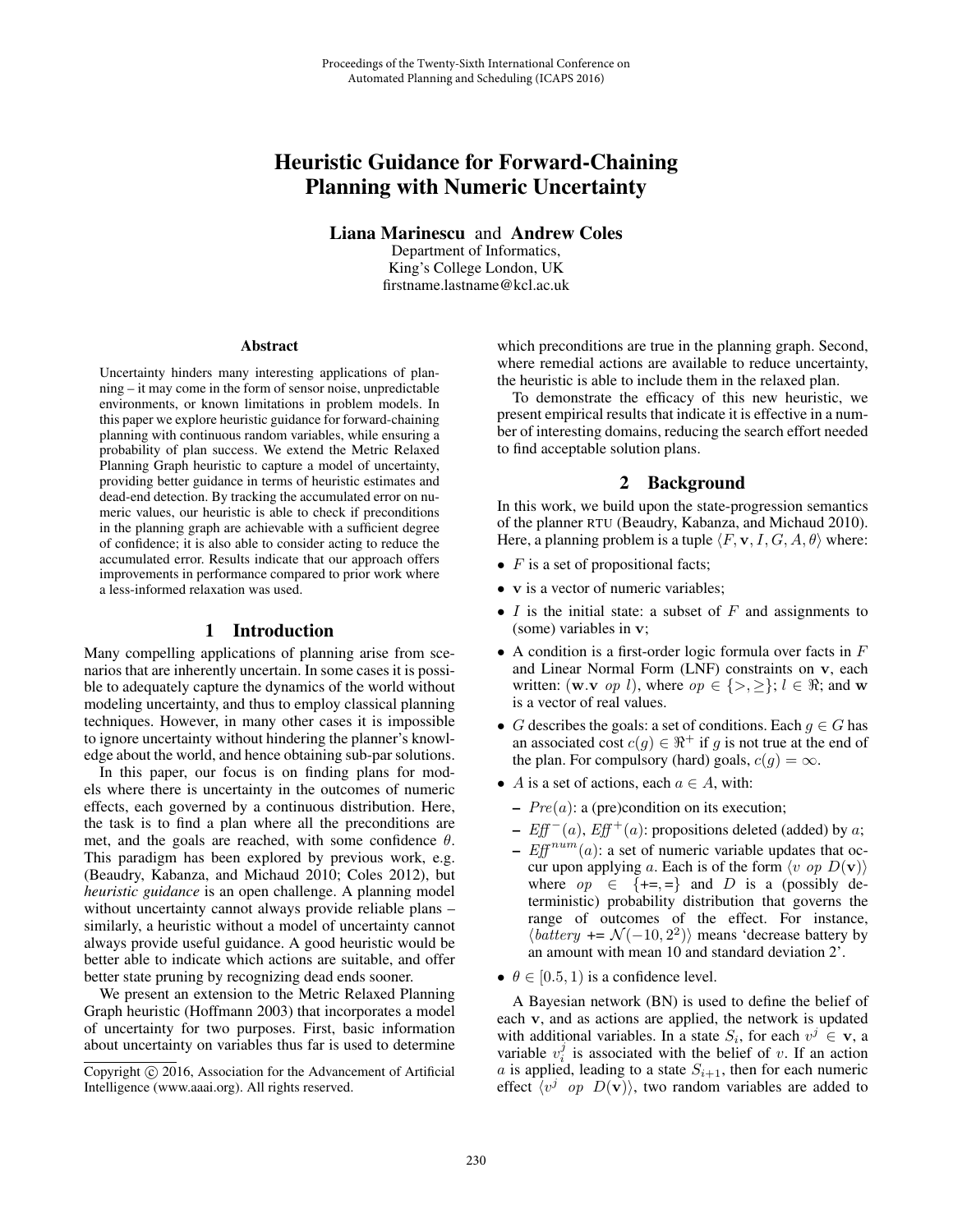# Heuristic Guidance for Forward-Chaining Planning with Numeric Uncertainty

Liana Marinescu and Andrew Coles

Department of Informatics, King's College London, UK firstname.lastname@kcl.ac.uk

#### Abstract

Uncertainty hinders many interesting applications of planning – it may come in the form of sensor noise, unpredictable environments, or known limitations in problem models. In this paper we explore heuristic guidance for forward-chaining planning with continuous random variables, while ensuring a probability of plan success. We extend the Metric Relaxed Planning Graph heuristic to capture a model of uncertainty, providing better guidance in terms of heuristic estimates and dead-end detection. By tracking the accumulated error on numeric values, our heuristic is able to check if preconditions in the planning graph are achievable with a sufficient degree of confidence; it is also able to consider acting to reduce the accumulated error. Results indicate that our approach offers improvements in performance compared to prior work where a less-informed relaxation was used.

## 1 Introduction

Many compelling applications of planning arise from scenarios that are inherently uncertain. In some cases it is possible to adequately capture the dynamics of the world without modeling uncertainty, and thus to employ classical planning techniques. However, in many other cases it is impossible to ignore uncertainty without hindering the planner's knowledge about the world, and hence obtaining sub-par solutions.

In this paper, our focus is on finding plans for models where there is uncertainty in the outcomes of numeric effects, each governed by a continuous distribution. Here, the task is to find a plan where all the preconditions are met, and the goals are reached, with some confidence  $\theta$ . This paradigm has been explored by previous work, e.g. (Beaudry, Kabanza, and Michaud 2010; Coles 2012), but *heuristic guidance* is an open challenge. A planning model without uncertainty cannot always provide reliable plans – similarly, a heuristic without a model of uncertainty cannot always provide useful guidance. A good heuristic would be better able to indicate which actions are suitable, and offer better state pruning by recognizing dead ends sooner.

We present an extension to the Metric Relaxed Planning Graph heuristic (Hoffmann 2003) that incorporates a model of uncertainty for two purposes. First, basic information about uncertainty on variables thus far is used to determine which preconditions are true in the planning graph. Second, where remedial actions are available to reduce uncertainty, the heuristic is able to include them in the relaxed plan.

To demonstrate the efficacy of this new heuristic, we present empirical results that indicate it is effective in a number of interesting domains, reducing the search effort needed to find acceptable solution plans.

# 2 Background

In this work, we build upon the state-progression semantics of the planner RTU (Beaudry, Kabanza, and Michaud 2010). Here, a planning problem is a tuple  $\langle F, \mathbf{v}, I, G, A, \theta \rangle$  where:

- $F$  is a set of propositional facts;
- **v** is a vector of numeric variables;
- $I$  is the initial state: a subset of  $F$  and assignments to (some) variables in **v**;
- A condition is a first-order logic formula over facts in  $F$ and Linear Normal Form (LNF) constraints on **v**, each written: (**w**.**v** *op l*), where  $op \in \{>, \geq\}$ ;  $l \in \Re$ ; and **w** is a vector of real values.
- G describes the goals: a set of conditions. Each  $g \in G$  has an associated cost  $c(g) \in \mathbb{R}^+$  if g is not true at the end of the plan. For compulsory (hard) goals,  $c(g) = \infty$ .
- A is a set of actions, each  $a \in A$ , with:
	- $Pre(a)$ : a (pre)condition on its execution;
	- $Eff^{-}(a)$ ,  $Eff^{+}(a)$ : propositions deleted (added) by a;
	- $Eff^{num}(a)$ : a set of numeric variable updates that occur upon applying a. Each is of the form  $\langle v \text{ op } D(v) \rangle$ <br>where  $\omega p \in \{+\equiv \}$  and D is a (possibly dewhere  $op \in {\{\text{+=},\text{==}\}}$  and D is a (possibly deterministic) probability distribution that governs the range of outcomes of the effect. For instance,  $\langle battery +\equiv \mathcal{N}(-10, 2^2) \rangle$  means 'decrease battery by an amount with mean 10 and standard deviation 2' an amount with mean 10 and standard deviation 2'.
- $\theta \in [0.5, 1)$  is a confidence level.

A Bayesian network (BN) is used to define the belief of each **v**, and as actions are applied, the network is updated with additional variables. In a state  $S_i$ , for each  $v^j \in \mathbf{v}$ , a variable  $v_i^j$  is associated with the belief of v. If an action a is applied leading to a state  $S_{i+1}$  then for each numeric a is applied, leading to a state  $S_{i+1}$ , then for each numeric effect  $\overline{\langle v^j \text{ op } D(\mathbf{v}) \rangle}$ , two random variables are added to

Copyright  $\odot$  2016, Association for the Advancement of Artificial Intelligence (www.aaai.org). All rights reserved.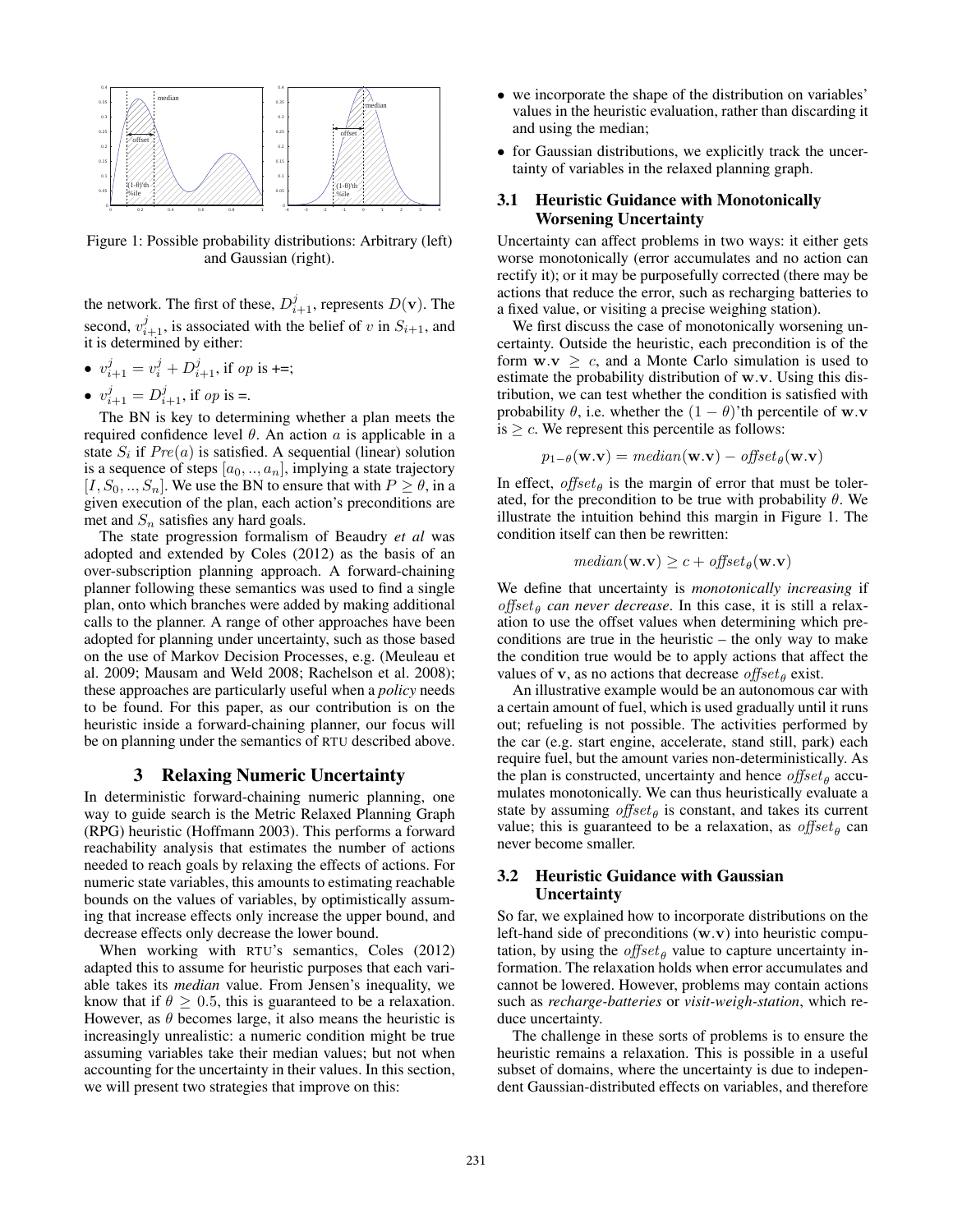

Figure 1: Possible probability distributions: Arbitrary (left) and Gaussian (right).

the network. The first of these,  $D_{i+1}^j$ , represents  $D(\mathbf{v})$ . The second,  $v_{i+1}^j$ , is associated with the belief of v in  $S_{i+1}$ , and it is determined by either it is determined by either:

- $v_{i+1}^j = v_i^j + D_{i+1}^j$ , if op is +=;
- $v_{i+1}^j = D_{i+1}^j$ , if op is =.

The BN is key to determining whether a plan meets the required confidence level  $\theta$ . An action a is applicable in a state  $S_i$  if  $Pre(a)$  is satisfied. A sequential (linear) solution is a sequence of steps  $[a_0, \ldots, a_n]$ , implying a state trajectory  $[I, S_0, ..., S_n]$ . We use the BN to ensure that with  $P \ge \theta$ , in a given execution of the plan, each action's preconditions are met and  $S_n$  satisfies any hard goals.

The state progression formalism of Beaudry *et al* was adopted and extended by Coles (2012) as the basis of an over-subscription planning approach. A forward-chaining planner following these semantics was used to find a single plan, onto which branches were added by making additional calls to the planner. A range of other approaches have been adopted for planning under uncertainty, such as those based on the use of Markov Decision Processes, e.g. (Meuleau et al. 2009; Mausam and Weld 2008; Rachelson et al. 2008); these approaches are particularly useful when a *policy* needs to be found. For this paper, as our contribution is on the heuristic inside a forward-chaining planner, our focus will be on planning under the semantics of RTU described above.

#### 3 Relaxing Numeric Uncertainty

In deterministic forward-chaining numeric planning, one way to guide search is the Metric Relaxed Planning Graph (RPG) heuristic (Hoffmann 2003). This performs a forward reachability analysis that estimates the number of actions needed to reach goals by relaxing the effects of actions. For numeric state variables, this amounts to estimating reachable bounds on the values of variables, by optimistically assuming that increase effects only increase the upper bound, and decrease effects only decrease the lower bound.

When working with RTU's semantics, Coles (2012) adapted this to assume for heuristic purposes that each variable takes its *median* value. From Jensen's inequality, we know that if  $\theta \geq 0.5$ , this is guaranteed to be a relaxation. However, as  $\theta$  becomes large, it also means the heuristic is increasingly unrealistic: a numeric condition might be true assuming variables take their median values; but not when accounting for the uncertainty in their values. In this section, we will present two strategies that improve on this:

- we incorporate the shape of the distribution on variables' values in the heuristic evaluation, rather than discarding it and using the median;
- for Gaussian distributions, we explicitly track the uncertainty of variables in the relaxed planning graph.

## 3.1 Heuristic Guidance with Monotonically Worsening Uncertainty

Uncertainty can affect problems in two ways: it either gets worse monotonically (error accumulates and no action can rectify it); or it may be purposefully corrected (there may be actions that reduce the error, such as recharging batteries to a fixed value, or visiting a precise weighing station).

We first discuss the case of monotonically worsening uncertainty. Outside the heuristic, each precondition is of the form  $\mathbf{w} \cdot \mathbf{v} \geq c$ , and a Monte Carlo simulation is used to estimate the probability distribution of **<sup>w</sup>**.**v**. Using this distribution, we can test whether the condition is satisfied with probability  $\theta$ , i.e. whether the  $(1 - \theta)$ 'th percentile of **w**.**v** is  $\geq c$ . We represent this percentile as follows:

$$
p_{1-\theta}(\mathbf{w}.\mathbf{v}) = \text{median}(\mathbf{w}.\mathbf{v}) - \text{offset}_{\theta}(\mathbf{w}.\mathbf{v})
$$

In effect, offset<sub> $\theta$ </sub> is the margin of error that must be tolerated, for the precondition to be true with probability  $\theta$ . We illustrate the intuition behind this margin in Figure 1. The condition itself can then be rewritten:

$$
median(\mathbf{w}.\mathbf{v}) \ge c + offset_{\theta}(\mathbf{w}.\mathbf{v})
$$

We define that uncertainty is *monotonically increasing* if offset<sub> $\theta$ </sub> can never decrease. In this case, it is still a relaxation to use the offset values when determining which preconditions are true in the heuristic – the only way to make the condition true would be to apply actions that affect the values of **v**, as no actions that decrease offset<sub>e</sub> exist.

An illustrative example would be an autonomous car with a certain amount of fuel, which is used gradually until it runs out; refueling is not possible. The activities performed by the car (e.g. start engine, accelerate, stand still, park) each require fuel, but the amount varies non-deterministically. As the plan is constructed, uncertainty and hence  $offset_{\theta}$  accumulates monotonically. We can thus heuristically evaluate a state by assuming  $offset_{\theta}$  is constant, and takes its current value; this is guaranteed to be a relaxation, as  $offset_{\theta}$  can never become smaller.

## 3.2 Heuristic Guidance with Gaussian **Uncertainty**

So far, we explained how to incorporate distributions on the left-hand side of preconditions (**w**.**v**) into heuristic computation, by using the *offset* $_{\theta}$  value to capture uncertainty information. The relaxation holds when error accumulates and cannot be lowered. However, problems may contain actions such as *recharge-batteries* or *visit-weigh-station*, which reduce uncertainty.

The challenge in these sorts of problems is to ensure the heuristic remains a relaxation. This is possible in a useful subset of domains, where the uncertainty is due to independent Gaussian-distributed effects on variables, and therefore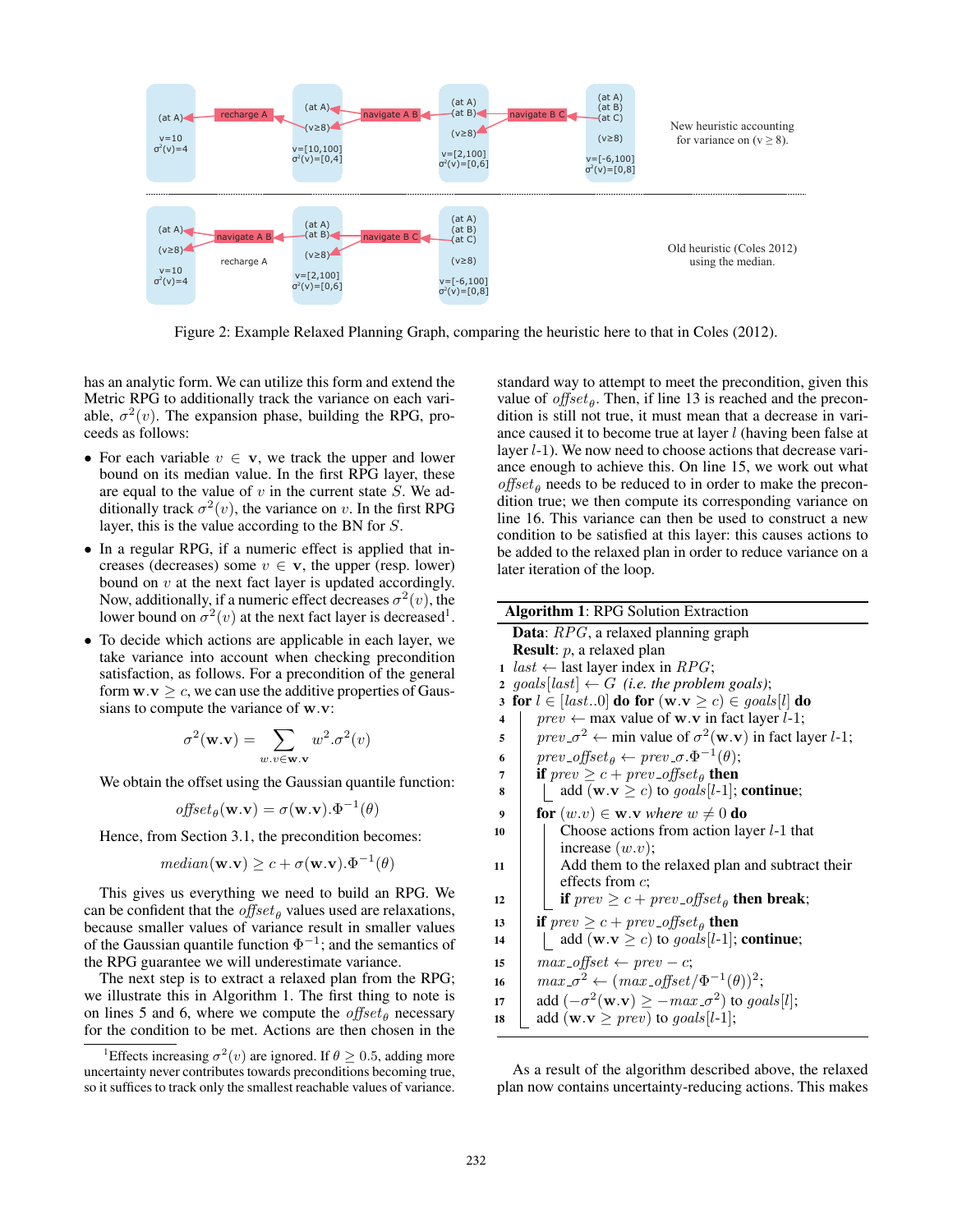

Figure 2: Example Relaxed Planning Graph, comparing the heuristic here to that in Coles (2012).

has an analytic form. We can utilize this form and extend the Metric RPG to additionally track the variance on each variable,  $\sigma^2(v)$ . The expansion phase, building the RPG, proceeds as follows:

- For each variable  $v \in \mathbf{v}$ , we track the upper and lower bound on its median value. In the first RPG layer, these are equal to the value of  $v$  in the current state  $S$ . We additionally track  $\sigma^2(v)$ , the variance on v. In the first RPG layer, this is the value according to the BN for S.
- In a regular RPG, if a numeric effect is applied that increases (decreases) some  $v \in \mathbf{v}$ , the upper (resp. lower) bound on  $v$  at the next fact layer is updated accordingly. Now, additionally, if a numeric effect decreases  $\sigma^2(v)$ , the lower bound on  $\sigma^2(v)$  at the next fact layer is decreased<sup>1</sup>.
- To decide which actions are applicable in each layer, we take variance into account when checking precondition satisfaction, as follows. For a precondition of the general form  $\mathbf{w} \cdot \mathbf{v} \geq c$ , we can use the additive properties of Gaussians to compute the variance of **<sup>w</sup>**.**v**:

$$
\sigma^2(\mathbf{w}.\mathbf{v}) = \sum_{w,v \in \mathbf{w}.\mathbf{v}} w^2 \cdot \sigma^2(v)
$$

We obtain the offset using the Gaussian quantile function:

$$
offset_{\theta}(\mathbf{w}.\mathbf{v}) = \sigma(\mathbf{w}.\mathbf{v}).\Phi^{-1}(\theta)
$$

Hence, from Section 3.1, the precondition becomes:

$$
median(\mathbf{w}.\mathbf{v}) \ge c + \sigma(\mathbf{w}.\mathbf{v}).\Phi^{-1}(\theta)
$$

This gives us everything we need to build an RPG. We can be confident that the *offset* $_{\theta}$  values used are relaxations, because smaller values of variance result in smaller values of the Gaussian quantile function  $\Phi^{-1}$ ; and the semantics of the RPG guarantee we will underestimate variance.

The next step is to extract a relaxed plan from the RPG; we illustrate this in Algorithm 1. The first thing to note is on lines 5 and 6, where we compute the  $offset_{\theta}$  necessary for the condition to be met. Actions are then chosen in the

standard way to attempt to meet the precondition, given this value of  $offset_{\theta}$ . Then, if line 13 is reached and the precondition is still not true, it must mean that a decrease in variance caused it to become true at layer l (having been false at layer  $l-1$ ). We now need to choose actions that decrease variance enough to achieve this. On line 15, we work out what  $offset_{\theta}$  needs to be reduced to in order to make the precondition true; we then compute its corresponding variance on line 16. This variance can then be used to construct a new condition to be satisfied at this layer: this causes actions to be added to the relaxed plan in order to reduce variance on a later iteration of the loop.

|    | <b>Algorithm 1: RPG Solution Extraction</b>                                                                    |
|----|----------------------------------------------------------------------------------------------------------------|
|    | Data: RPG, a relaxed planning graph                                                                            |
|    | <b>Result:</b> $p$ , a relaxed plan                                                                            |
| 1  | $last \leftarrow$ last layer index in $RPG$ ;                                                                  |
|    | 2 goals [last] $\leftarrow G$ (i.e. the problem goals);                                                        |
| 3  | for $l \in [last0]$ do for $(\mathbf{w}.\mathbf{v} \ge c) \in goals[l]$ do                                     |
| 4  | $prev \leftarrow max$ value of <b>w</b> . <b>v</b> in fact layer <i>l</i> -1;                                  |
| 5  | $prev \text{--} \sigma^2 \leftarrow$ min value of $\sigma^2(\mathbf{w}.\mathbf{v})$ in fact layer <i>l</i> -1; |
| 6  | $prev\_offset_{\theta} \leftarrow prev \_\sigma.\Phi^{-1}(\theta);$                                            |
| 7  | if $prev \geq c + prev\_offset_{\theta}$ then                                                                  |
| 8  | add ( <b>w</b> . <b>v</b> $\geq$ <i>c</i> ) to <i>goals</i> [l-1]; <b>continue</b> ;                           |
| 9  | <b>for</b> $(w.v) \in \mathbf{w}.\mathbf{v}$ where $w \neq 0$ <b>do</b>                                        |
| 10 | Choose actions from action layer $l-1$ that                                                                    |
|    | increase $(w.v);$                                                                                              |
| 11 | Add them to the relaxed plan and subtract their                                                                |
|    | effects from $c$ ;                                                                                             |
| 12 | if $prev \geq c + prev\_offset_{\theta}$ then break;                                                           |
| 13 | <b>if</b> $prev \geq c + prev\_offset_{\theta}$ <b>then</b>                                                    |
| 14 | add ( <b>w</b> . <b>v</b> $\geq$ <i>c</i> ) to <i>goals</i> [l-1]; <b>continue</b> ;                           |
| 15 | $max_{\theta}$ -offset $\leftarrow prev - c$ ;                                                                 |
| 16 | $max_{\sigma} \sigma^2 \leftarrow (max_{\sigma} \sigma f f s e t / \Phi^{-1}(\theta))^2;$                      |
| 17 | add $(-\sigma^2(\mathbf{w}.\mathbf{v}) \ge -max \sigma^2)$ to goals[l];                                        |
| 18 | add ( <b>w</b> . <b>v</b> $\geq$ <i>prev</i> ) to <i>goals</i> [l-1];                                          |
|    |                                                                                                                |

As a result of the algorithm described above, the relaxed plan now contains uncertainty-reducing actions. This makes

<sup>&</sup>lt;sup>1</sup>Effects increasing  $\sigma^2(v)$  are ignored. If  $\theta \ge 0.5$ , adding more uncertainty never contributes towards preconditions becoming true, so it suffices to track only the smallest reachable values of variance.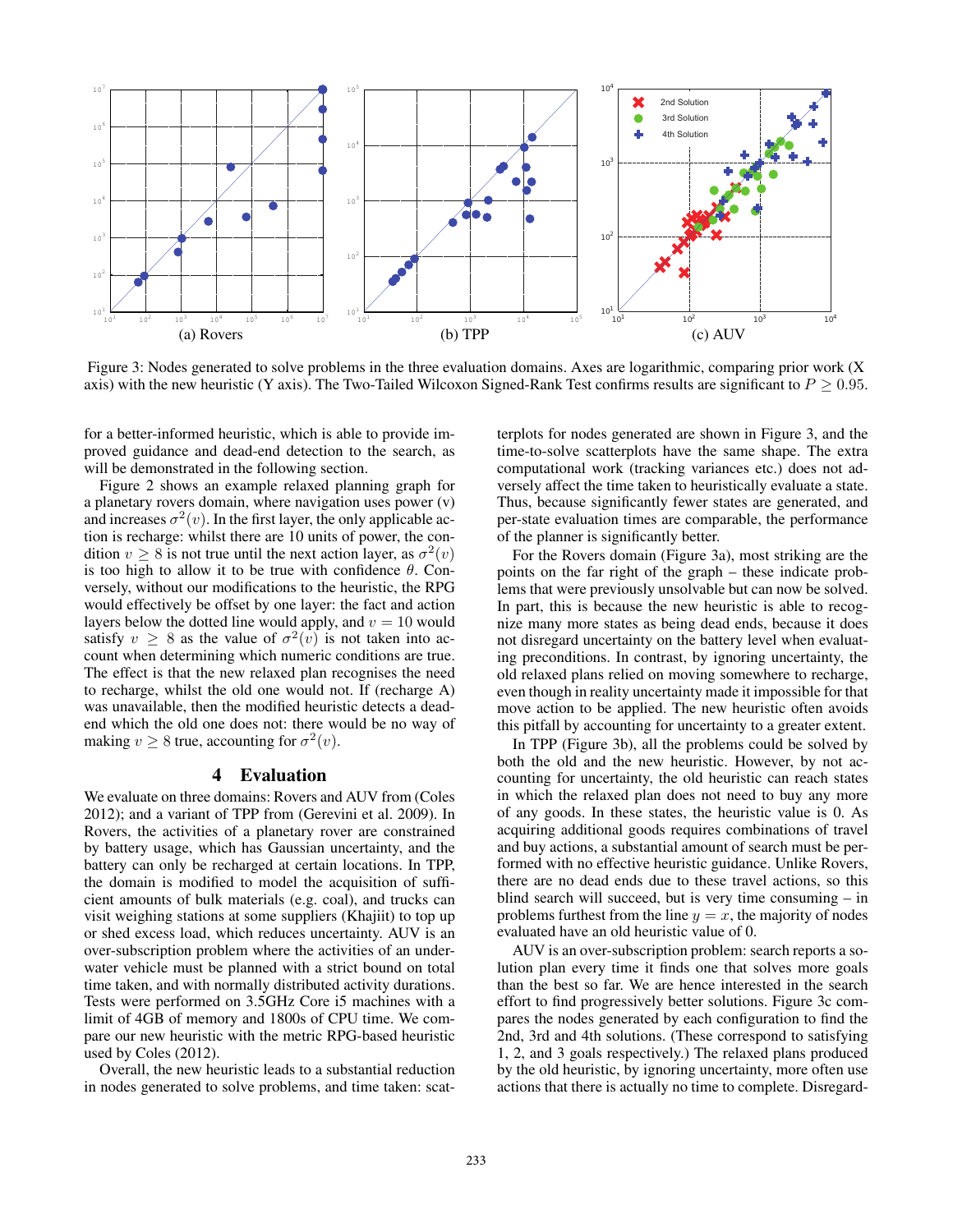

Figure 3: Nodes generated to solve problems in the three evaluation domains. Axes are logarithmic, comparing prior work (X axis) with the new heuristic (Y axis). The Two-Tailed Wilcoxon Signed-Rank Test confirms results are significant to  $P \ge 0.95$ .

for a better-informed heuristic, which is able to provide improved guidance and dead-end detection to the search, as will be demonstrated in the following section.

Figure 2 shows an example relaxed planning graph for a planetary rovers domain, where navigation uses power (v) and increases  $\sigma^2(v)$ . In the first layer, the only applicable action is recharge: whilst there are 10 units of power, the condition  $v > 8$  is not true until the next action layer, as  $\sigma^2(v)$ is too high to allow it to be true with confidence  $\theta$ . Conversely, without our modifications to the heuristic, the RPG would effectively be offset by one layer: the fact and action layers below the dotted line would apply, and  $v = 10$  would satisfy  $v \ge 8$  as the value of  $\sigma^2(v)$  is not taken into account when determining which numeric conditions are true. The effect is that the new relaxed plan recognises the need to recharge, whilst the old one would not. If (recharge A) was unavailable, then the modified heuristic detects a deadend which the old one does not: there would be no way of making  $v \ge 8$  true, accounting for  $\sigma^2(v)$ .

## 4 Evaluation

We evaluate on three domains: Rovers and AUV from (Coles 2012); and a variant of TPP from (Gerevini et al. 2009). In Rovers, the activities of a planetary rover are constrained by battery usage, which has Gaussian uncertainty, and the battery can only be recharged at certain locations. In TPP, the domain is modified to model the acquisition of sufficient amounts of bulk materials (e.g. coal), and trucks can visit weighing stations at some suppliers (Khajiit) to top up or shed excess load, which reduces uncertainty. AUV is an over-subscription problem where the activities of an underwater vehicle must be planned with a strict bound on total time taken, and with normally distributed activity durations. Tests were performed on 3.5GHz Core i5 machines with a limit of 4GB of memory and 1800s of CPU time. We compare our new heuristic with the metric RPG-based heuristic used by Coles (2012).

Overall, the new heuristic leads to a substantial reduction in nodes generated to solve problems, and time taken: scatterplots for nodes generated are shown in Figure 3, and the time-to-solve scatterplots have the same shape. The extra computational work (tracking variances etc.) does not adversely affect the time taken to heuristically evaluate a state. Thus, because significantly fewer states are generated, and per-state evaluation times are comparable, the performance of the planner is significantly better.

For the Rovers domain (Figure 3a), most striking are the points on the far right of the graph – these indicate problems that were previously unsolvable but can now be solved. In part, this is because the new heuristic is able to recognize many more states as being dead ends, because it does not disregard uncertainty on the battery level when evaluating preconditions. In contrast, by ignoring uncertainty, the old relaxed plans relied on moving somewhere to recharge, even though in reality uncertainty made it impossible for that move action to be applied. The new heuristic often avoids this pitfall by accounting for uncertainty to a greater extent.

In TPP (Figure 3b), all the problems could be solved by both the old and the new heuristic. However, by not accounting for uncertainty, the old heuristic can reach states in which the relaxed plan does not need to buy any more of any goods. In these states, the heuristic value is 0. As acquiring additional goods requires combinations of travel and buy actions, a substantial amount of search must be performed with no effective heuristic guidance. Unlike Rovers, there are no dead ends due to these travel actions, so this blind search will succeed, but is very time consuming – in problems furthest from the line  $y = x$ , the majority of nodes evaluated have an old heuristic value of 0.

AUV is an over-subscription problem: search reports a solution plan every time it finds one that solves more goals than the best so far. We are hence interested in the search effort to find progressively better solutions. Figure 3c compares the nodes generated by each configuration to find the 2nd, 3rd and 4th solutions. (These correspond to satisfying 1, 2, and 3 goals respectively.) The relaxed plans produced by the old heuristic, by ignoring uncertainty, more often use actions that there is actually no time to complete. Disregard